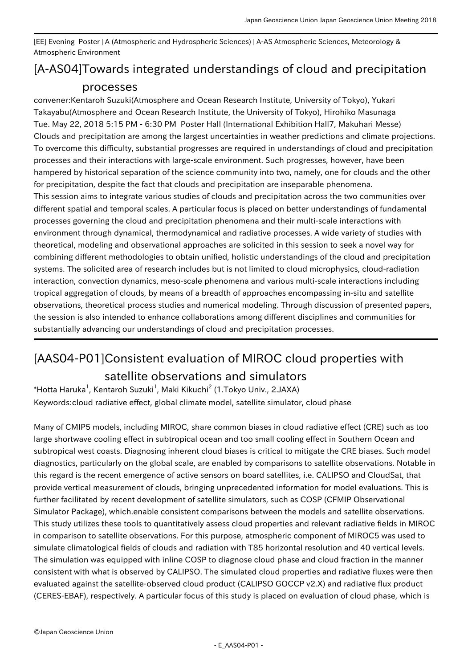[EE] Evening Poster | A (Atmospheric and Hydrospheric Sciences) | A-AS Atmospheric Sciences, Meteorology & Atmospheric Environment

## [A-AS04] Towards integrated understandings of cloud and precipitation processes

convener:Kentaroh Suzuki(Atmosphere and Ocean Research Institute, University of Tokyo), Yukari Takayabu(Atmosphere and Ocean Research Institute, the University of Tokyo), Hirohiko Masunaga Tue. May 22, 2018 5:15 PM - 6:30 PM Poster Hall (International Exhibition Hall7, Makuhari Messe) Clouds and precipitation are among the largest uncertainties in weather predictions and climate projections. To overcome this difficulty, substantial progresses are required in understandings of cloud and precipitation processes and their interactions with large-scale environment. Such progresses, however, have been hampered by historical separation of the science community into two, namely, one for clouds and the other for precipitation, despite the fact that clouds and precipitation are inseparable phenomena. This session aims to integrate various studies of clouds and precipitation across the two communities over different spatial and temporal scales. A particular focus is placed on better understandings of fundamental processes governing the cloud and precipitation phenomena and their multi-scale interactions with environment through dynamical, thermodynamical and radiative processes. A wide variety of studies with theoretical, modeling and observational approaches are solicited in this session to seek a novel way for combining different methodologies to obtain unified, holistic understandings of the cloud and precipitation systems. The solicited area of research includes but is not limited to cloud microphysics, cloud-radiation interaction, convection dynamics, meso-scale phenomena and various multi-scale interactions including tropical aggregation of clouds, by means of a breadth of approaches encompassing in-situ and satellite observations, theoretical process studies and numerical modeling. Through discussion of presented papers, the session is also intended to enhance collaborations among different disciplines and communities for substantially advancing our understandings of cloud and precipitation processes.

## [AAS04-P01] Consistent evaluation of MIROC cloud properties with

## satellite observations and simulators

 $^*$ Hotta Haruka $^1$ , Kentaroh Suzuki $^1$ , Maki Kikuchi $^2$  (1.Tokyo Univ., 2.JAXA) Keywords:cloud radiative effect, global climate model, satellite simulator, cloud phase

Many of CMIP5 models, including MIROC, share common biases in cloud radiative effect (CRE) such as too large shortwave cooling effect in subtropical ocean and too small cooling effect in Southern Ocean and subtropical west coasts. Diagnosing inherent cloud biases is critical to mitigate the CRE biases. Such model diagnostics, particularly on the global scale, are enabled by comparisons to satellite observations. Notable in this regard is the recent emergence of active sensors on board satellites, i.e. CALIPSO and CloudSat, that provide vertical measurement of clouds, bringing unprecedented information for model evaluations. This is further facilitated by recent development of satellite simulators, such as COSP (CFMIP Observational Simulator Package), which.enable consistent comparisons between the models and satellite observations. This study utilizes these tools to quantitatively assess cloud properties and relevant radiative fields in MIROC in comparison to satellite observations. For this purpose, atmospheric component of MIROC5 was used to simulate climatological fields of clouds and radiation with T85 horizontal resolution and 40 vertical levels. The simulation was equipped with inline COSP to diagnose cloud phase and cloud fraction in the manner consistent with what is observed by CALIPSO. The simulated cloud properties and radiative fluxes were then evaluated against the satellite-observed cloud product (CALIPSO GOCCP v2.X) and radiative flux product (CERES-EBAF), respectively. A particular focus of this study is placed on evaluation of cloud phase, which is